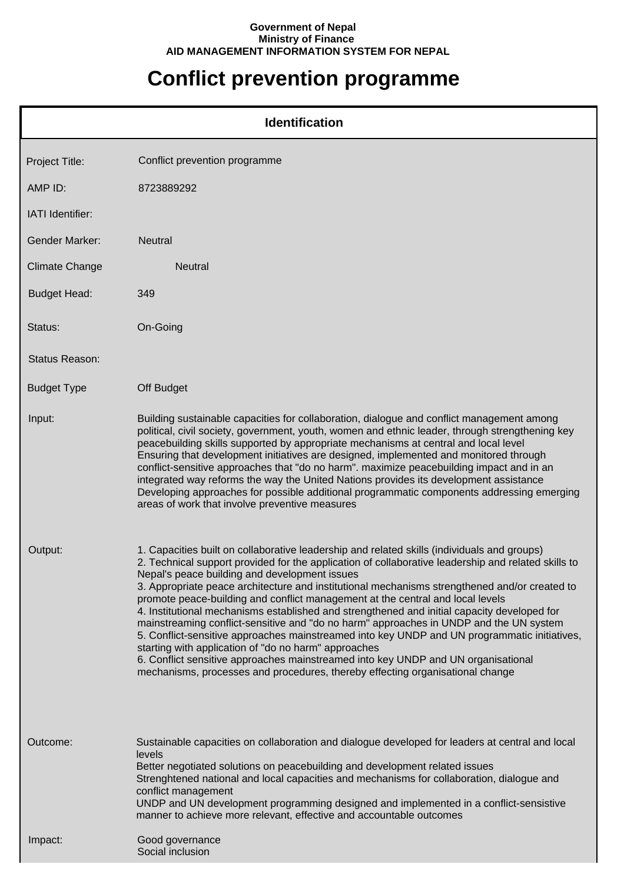## **Government of Nepal Ministry of Finance AID MANAGEMENT INFORMATION SYSTEM FOR NEPAL**

## **Conflict prevention programme**

|                       | <b>Identification</b>                                                                                                                                                                                                                                                                                                                                                                                                                                                                                                                                                                                                                                                                                                                                                                                                                                                                                                                                         |
|-----------------------|---------------------------------------------------------------------------------------------------------------------------------------------------------------------------------------------------------------------------------------------------------------------------------------------------------------------------------------------------------------------------------------------------------------------------------------------------------------------------------------------------------------------------------------------------------------------------------------------------------------------------------------------------------------------------------------------------------------------------------------------------------------------------------------------------------------------------------------------------------------------------------------------------------------------------------------------------------------|
| Project Title:        | Conflict prevention programme                                                                                                                                                                                                                                                                                                                                                                                                                                                                                                                                                                                                                                                                                                                                                                                                                                                                                                                                 |
| AMP ID:               | 8723889292                                                                                                                                                                                                                                                                                                                                                                                                                                                                                                                                                                                                                                                                                                                                                                                                                                                                                                                                                    |
| IATI Identifier:      |                                                                                                                                                                                                                                                                                                                                                                                                                                                                                                                                                                                                                                                                                                                                                                                                                                                                                                                                                               |
| <b>Gender Marker:</b> | Neutral                                                                                                                                                                                                                                                                                                                                                                                                                                                                                                                                                                                                                                                                                                                                                                                                                                                                                                                                                       |
| <b>Climate Change</b> | <b>Neutral</b>                                                                                                                                                                                                                                                                                                                                                                                                                                                                                                                                                                                                                                                                                                                                                                                                                                                                                                                                                |
| <b>Budget Head:</b>   | 349                                                                                                                                                                                                                                                                                                                                                                                                                                                                                                                                                                                                                                                                                                                                                                                                                                                                                                                                                           |
| Status:               | On-Going                                                                                                                                                                                                                                                                                                                                                                                                                                                                                                                                                                                                                                                                                                                                                                                                                                                                                                                                                      |
| Status Reason:        |                                                                                                                                                                                                                                                                                                                                                                                                                                                                                                                                                                                                                                                                                                                                                                                                                                                                                                                                                               |
| <b>Budget Type</b>    | Off Budget                                                                                                                                                                                                                                                                                                                                                                                                                                                                                                                                                                                                                                                                                                                                                                                                                                                                                                                                                    |
| Input:                | Building sustainable capacities for collaboration, dialogue and conflict management among<br>political, civil society, government, youth, women and ethnic leader, through strengthening key<br>peacebuilding skills supported by appropriate mechanisms at central and local level<br>Ensuring that development initiatives are designed, implemented and monitored through<br>conflict-sensitive approaches that "do no harm". maximize peacebuilding impact and in an<br>integrated way reforms the way the United Nations provides its development assistance<br>Developing approaches for possible additional programmatic components addressing emerging<br>areas of work that involve preventive measures                                                                                                                                                                                                                                              |
| Output:               | 1. Capacities built on collaborative leadership and related skills (individuals and groups)<br>2. Technical support provided for the application of collaborative leadership and related skills to<br>Nepal's peace building and development issues<br>3. Appropriate peace architecture and institutional mechanisms strengthened and/or created to<br>promote peace-building and conflict management at the central and local levels<br>4. Institutional mechanisms established and strengthened and initial capacity developed for<br>mainstreaming conflict-sensitive and "do no harm" approaches in UNDP and the UN system<br>5. Conflict-sensitive approaches mainstreamed into key UNDP and UN programmatic initiatives,<br>starting with application of "do no harm" approaches<br>6. Conflict sensitive approaches mainstreamed into key UNDP and UN organisational<br>mechanisms, processes and procedures, thereby effecting organisational change |
| Outcome:              | Sustainable capacities on collaboration and dialogue developed for leaders at central and local<br>levels<br>Better negotiated solutions on peacebuilding and development related issues<br>Strenghtened national and local capacities and mechanisms for collaboration, dialogue and<br>conflict management<br>UNDP and UN development programming designed and implemented in a conflict-sensistive<br>manner to achieve more relevant, effective and accountable outcomes                                                                                                                                                                                                                                                                                                                                                                                                                                                                                  |
| Impact:               | Good governance<br>Social inclusion                                                                                                                                                                                                                                                                                                                                                                                                                                                                                                                                                                                                                                                                                                                                                                                                                                                                                                                           |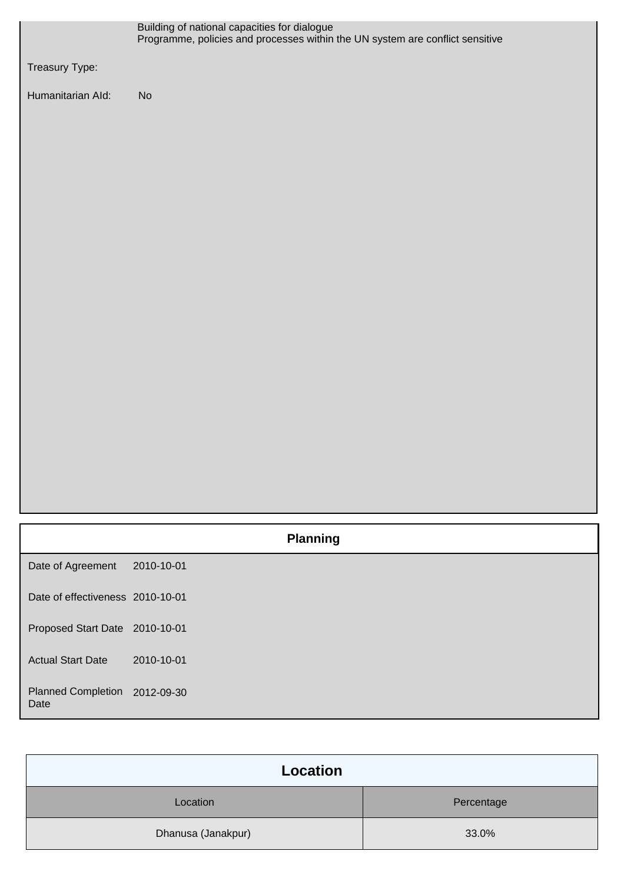|                                       | Building of national capacities for dialogue<br>Programme, policies and processes within the UN system are conflict sensitive |
|---------------------------------------|-------------------------------------------------------------------------------------------------------------------------------|
| Treasury Type:                        |                                                                                                                               |
| Humanitarian Ald:                     | No                                                                                                                            |
|                                       |                                                                                                                               |
|                                       | <b>Planning</b>                                                                                                               |
| Date of Agreement                     | 2010-10-01                                                                                                                    |
| Date of effectiveness 2010-10-01      |                                                                                                                               |
| Proposed Start Date 2010-10-01        |                                                                                                                               |
| <b>Actual Start Date</b>              | 2010-10-01                                                                                                                    |
| Planned Completion 2012-09-30<br>Date |                                                                                                                               |

| Location           |            |
|--------------------|------------|
| Location           | Percentage |
| Dhanusa (Janakpur) | 33.0%      |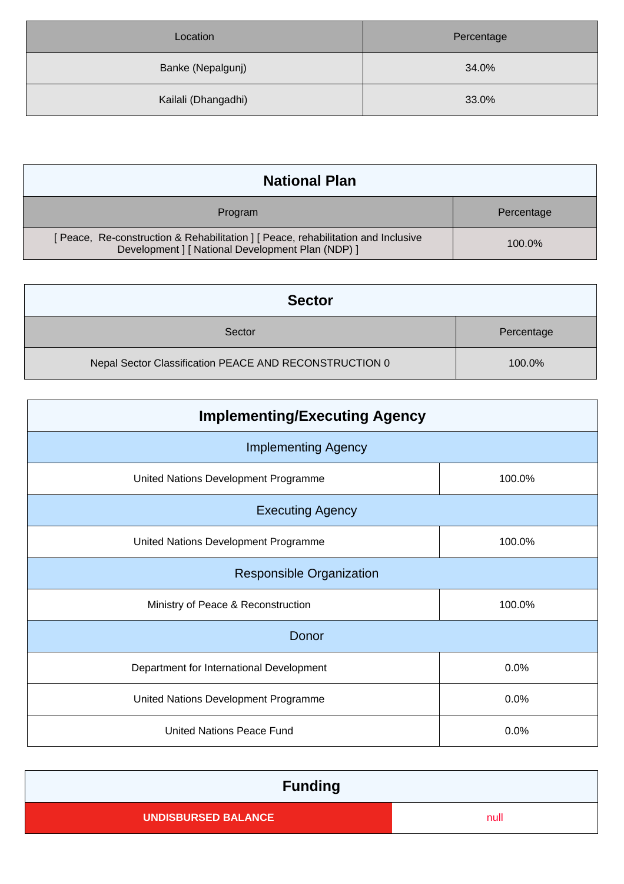| Location            | Percentage |
|---------------------|------------|
| Banke (Nepalgunj)   | 34.0%      |
| Kailali (Dhangadhi) | 33.0%      |

| <b>National Plan</b>                                                                                                                 |            |
|--------------------------------------------------------------------------------------------------------------------------------------|------------|
| Program                                                                                                                              | Percentage |
| [Peace, Re-construction & Rehabilitation ] [Peace, rehabilitation and Inclusive<br>Development ] [ National Development Plan (NDP) ] | 100.0%     |

| <b>Sector</b>                                          |            |
|--------------------------------------------------------|------------|
| Sector                                                 | Percentage |
| Nepal Sector Classification PEACE AND RECONSTRUCTION 0 | 100.0%     |

| <b>Implementing/Executing Agency</b>           |        |  |  |  |
|------------------------------------------------|--------|--|--|--|
| <b>Implementing Agency</b>                     |        |  |  |  |
| 100.0%<br>United Nations Development Programme |        |  |  |  |
| <b>Executing Agency</b>                        |        |  |  |  |
| United Nations Development Programme           | 100.0% |  |  |  |
| <b>Responsible Organization</b>                |        |  |  |  |
| Ministry of Peace & Reconstruction             | 100.0% |  |  |  |
| Donor                                          |        |  |  |  |
| Department for International Development       | 0.0%   |  |  |  |
| United Nations Development Programme           | 0.0%   |  |  |  |
| <b>United Nations Peace Fund</b><br>0.0%       |        |  |  |  |

| <b>Funding</b>             |      |
|----------------------------|------|
| <b>UNDISBURSED BALANCE</b> | null |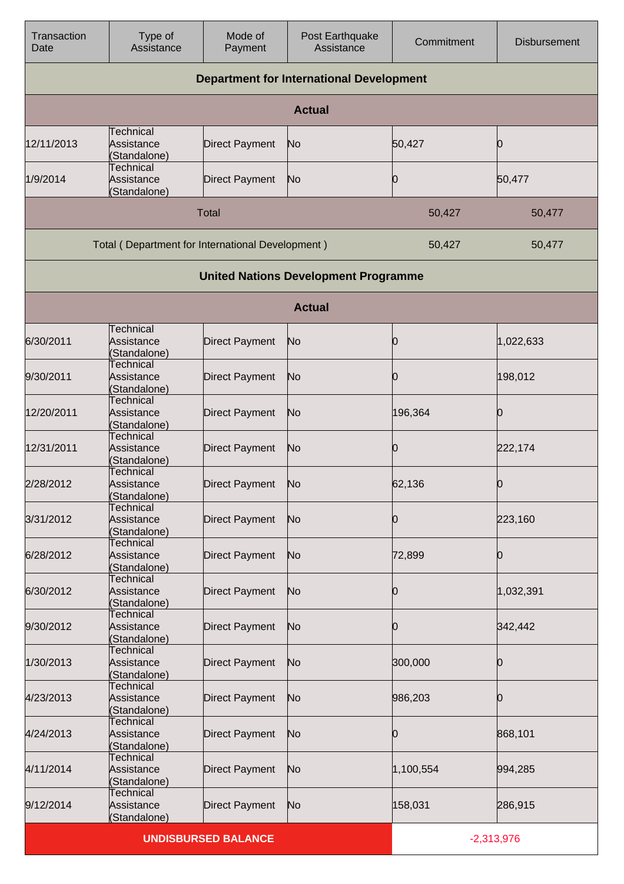| Transaction<br>Date                             | Type of<br>Assistance                            | Mode of<br>Payment         | Post Earthquake<br>Assistance               | Commitment   | <b>Disbursement</b> |
|-------------------------------------------------|--------------------------------------------------|----------------------------|---------------------------------------------|--------------|---------------------|
| <b>Department for International Development</b> |                                                  |                            |                                             |              |                     |
|                                                 |                                                  |                            | <b>Actual</b>                               |              |                     |
| 12/11/2013                                      | Technical<br>Assistance<br>(Standalone)          | <b>Direct Payment</b>      | No                                          | 50,427       | Ю                   |
| 1/9/2014                                        | Technical<br>Assistance<br>(Standalone)          | <b>Direct Payment</b>      | No                                          | Ю            | 50,477              |
|                                                 |                                                  | <b>Total</b>               |                                             | 50,427       | 50,477              |
|                                                 | Total (Department for International Development) |                            |                                             | 50,427       | 50,477              |
|                                                 |                                                  |                            | <b>United Nations Development Programme</b> |              |                     |
|                                                 |                                                  |                            | <b>Actual</b>                               |              |                     |
| 6/30/2011                                       | <b>Technical</b><br>Assistance<br>(Standalone)   | <b>Direct Payment</b>      | No                                          | O            | 1,022,633           |
| 9/30/2011                                       | <b>Technical</b><br>Assistance<br>(Standalone)   | <b>Direct Payment</b>      | No                                          | 0            | 198,012             |
| 12/20/2011                                      | <b>Technical</b><br>Assistance<br>(Standalone)   | <b>Direct Payment</b>      | No                                          | 196,364      | Ю                   |
| 12/31/2011                                      | <b>Technical</b><br>Assistance<br>(Standalone)   | <b>Direct Payment</b>      | No                                          | Ю            | 222,174             |
| 2/28/2012                                       | Technical<br>Assistance<br>(Standalone)          | <b>Direct Payment</b>      | No                                          | 62,136       | 0                   |
| 3/31/2012                                       | <b>Technical</b><br>Assistance<br>(Standalone)   | Direct Payment             | N <sub>o</sub>                              | Ю            | 223,160             |
| 6/28/2012                                       | <b>Technical</b><br>Assistance<br>(Standalone)   | <b>Direct Payment</b>      | N <sub>o</sub>                              | 72,899       | 0                   |
| 6/30/2012                                       | Technical<br>Assistance<br>(Standalone)          | <b>Direct Payment</b>      | N <sub>o</sub>                              | Ю            | 1,032,391           |
| 9/30/2012                                       | <b>Technical</b><br>Assistance<br>(Standalone)   | <b>Direct Payment</b>      | No                                          | Ю            | 342,442             |
| 1/30/2013                                       | <b>Technical</b><br>Assistance<br>(Standalone)   | Direct Payment             | No                                          | 300,000      | Ю                   |
| 4/23/2013                                       | Technical<br>Assistance<br>(Standalone)          | <b>Direct Payment</b>      | No                                          | 986,203      | Ю                   |
| 4/24/2013                                       | <b>Technical</b><br>Assistance<br>(Standalone)   | Direct Payment             | N <sub>o</sub>                              | Ю            | 868,101             |
| 4/11/2014                                       | <b>Technical</b><br>Assistance<br>(Standalone)   | Direct Payment             | N <sub>o</sub>                              | 1,100,554    | 994,285             |
| 9/12/2014                                       | Technical<br>Assistance<br>(Standalone)          | Direct Payment             | N <sub>o</sub>                              | 158,031      | 286,915             |
|                                                 |                                                  | <b>UNDISBURSED BALANCE</b> |                                             | $-2,313,976$ |                     |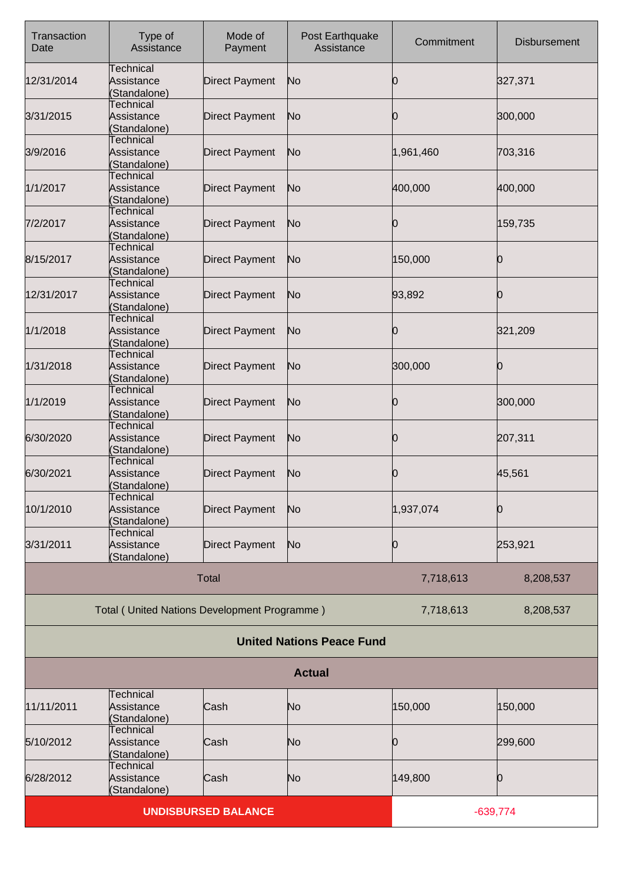| Transaction<br>Date | Type of<br>Assistance                          | Mode of<br>Payment         | Post Earthquake<br>Assistance    | Commitment | <b>Disbursement</b> |
|---------------------|------------------------------------------------|----------------------------|----------------------------------|------------|---------------------|
| 12/31/2014          | <b>Technical</b><br>Assistance<br>(Standalone) | <b>Direct Payment</b>      | No                               | O          | 327,371             |
| 3/31/2015           | Technical<br>Assistance<br>(Standalone)        | <b>Direct Payment</b>      | No                               | Ю          | 300,000             |
| 3/9/2016            | <b>Technical</b><br>Assistance<br>(Standalone) | <b>Direct Payment</b>      | No                               | 1,961,460  | 703,316             |
| 1/1/2017            | Technical<br>Assistance<br>Standalone)         | <b>Direct Payment</b>      | No                               | 400,000    | 400,000             |
| 7/2/2017            | Technical<br>Assistance<br>(Standalone)        | <b>Direct Payment</b>      | No                               | 0          | 159,735             |
| 8/15/2017           | <b>Technical</b><br>Assistance<br>(Standalone) | <b>Direct Payment</b>      | No                               | 150,000    | 0                   |
| 12/31/2017          | Technical<br>Assistance<br>(Standalone)        | <b>Direct Payment</b>      | No                               | 93,892     | 0                   |
| 1/1/2018            | Technical<br>Assistance<br>(Standalone)        | <b>Direct Payment</b>      | No                               | Ю          | 321,209             |
| 1/31/2018           | <b>Technical</b><br>Assistance<br>(Standalone) | <b>Direct Payment</b>      | No                               | 300,000    | 0                   |
| 1/1/2019            | Technical<br>Assistance<br>(Standalone)        | <b>Direct Payment</b>      | No                               | 0          | 300,000             |
| 6/30/2020           | <b>Technical</b><br>Assistance<br>(Standalone) | <b>Direct Payment</b>      | No                               | 0          | 207,311             |
| 6/30/2021           | Technical<br>Assistance<br>(Standalone)        | <b>Direct Payment</b>      | No                               | Ю          | 45,561              |
| 10/1/2010           | <b>Technical</b><br>Assistance<br>Standalone)  | <b>Direct Payment</b>      | No                               | 1,937,074  | 0                   |
| 3/31/2011           | <b>Technical</b><br>Assistance<br>(Standalone) | <b>Direct Payment</b>      | No                               | Ю          | 253,921             |
|                     |                                                | <b>Total</b>               |                                  | 7,718,613  | 8,208,537           |
|                     | Total (United Nations Development Programme)   |                            |                                  | 7,718,613  | 8,208,537           |
|                     |                                                |                            | <b>United Nations Peace Fund</b> |            |                     |
|                     |                                                |                            | <b>Actual</b>                    |            |                     |
| 11/11/2011          | <b>Technical</b><br>Assistance<br>(Standalone) | Cash                       | No                               | 150,000    | 150,000             |
| 5/10/2012           | Technical<br>Assistance<br>Standalone)         | Cash                       | No                               | Ю          | 299,600             |
| 6/28/2012           | <b>Technical</b><br>Assistance<br>(Standalone) | Cash                       | No                               | 149,800    | 0                   |
|                     |                                                | <b>UNDISBURSED BALANCE</b> |                                  |            | $-639,774$          |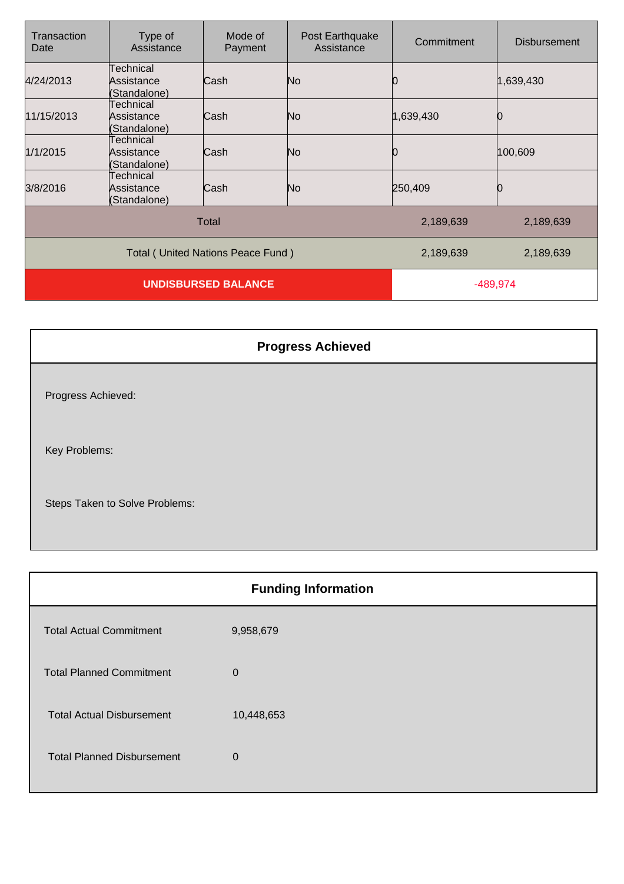| Transaction<br>Date                      | Type of<br>Assistance                   | Mode of<br>Payment | Post Earthquake<br>Assistance | Commitment | <b>Disbursement</b> |
|------------------------------------------|-----------------------------------------|--------------------|-------------------------------|------------|---------------------|
| 4/24/2013                                | Technical<br>Assistance<br>(Standalone) | Cash               | No.                           |            | 1,639,430           |
| 11/15/2013                               | Technical<br>Assistance<br>(Standalone) | Cash               | No                            | 1,639,430  |                     |
| 1/1/2015                                 | Technical<br>Assistance<br>(Standalone) | Cash               | No                            |            | 100,609             |
| 3/8/2016                                 | Technical<br>Assistance<br>(Standalone) | Cash               | No                            | 250,409    |                     |
|                                          |                                         | <b>Total</b>       |                               | 2,189,639  | 2,189,639           |
| <b>Total (United Nations Peace Fund)</b> |                                         |                    |                               | 2,189,639  | 2,189,639           |
| <b>UNDISBURSED BALANCE</b>               |                                         |                    | -489,974                      |            |                     |

| <b>Progress Achieved</b>       |
|--------------------------------|
| Progress Achieved:             |
| Key Problems:                  |
| Steps Taken to Solve Problems: |

| <b>Funding Information</b> |  |  |
|----------------------------|--|--|
| 9,958,679                  |  |  |
| $\mathbf 0$                |  |  |
| 10,448,653                 |  |  |
| $\mathbf{0}$               |  |  |
|                            |  |  |